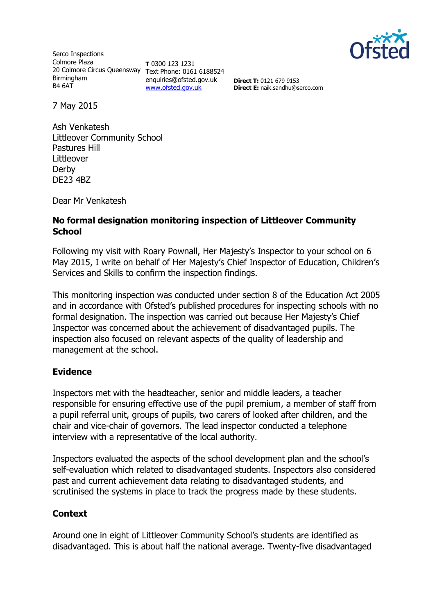

Serco Inspections Colmore Plaza 20 Colmore Circus Queensway Text Phone: 0161 6188524 Birmingham B4 6AT

**T** 0300 123 1231 enquiries@ofsted.gov.uk [www.ofsted.gov.uk](http://www.ofsted.gov.uk/)

**Direct T:** 0121 679 9153 **Direct E:** naik.sandhu@serco.com

7 May 2015

Ash Venkatesh Littleover Community School Pastures Hill Littleover Derby DE23 4BZ

Dear Mr Venkatesh

#### **No formal designation monitoring inspection of Littleover Community School**

Following my visit with Roary Pownall, Her Majesty's Inspector to your school on 6 May 2015, I write on behalf of Her Majesty's Chief Inspector of Education, Children's Services and Skills to confirm the inspection findings.

This monitoring inspection was conducted under section 8 of the Education Act 2005 and in accordance with Ofsted's published procedures for inspecting schools with no formal designation. The inspection was carried out because Her Majesty's Chief Inspector was concerned about the achievement of disadvantaged pupils. The inspection also focused on relevant aspects of the quality of leadership and management at the school.

## **Evidence**

Inspectors met with the headteacher, senior and middle leaders, a teacher responsible for ensuring effective use of the pupil premium, a member of staff from a pupil referral unit, groups of pupils, two carers of looked after children, and the chair and vice-chair of governors. The lead inspector conducted a telephone interview with a representative of the local authority.

Inspectors evaluated the aspects of the school development plan and the school's self-evaluation which related to disadvantaged students. Inspectors also considered past and current achievement data relating to disadvantaged students, and scrutinised the systems in place to track the progress made by these students.

## **Context**

Around one in eight of Littleover Community School's students are identified as disadvantaged. This is about half the national average. Twenty-five disadvantaged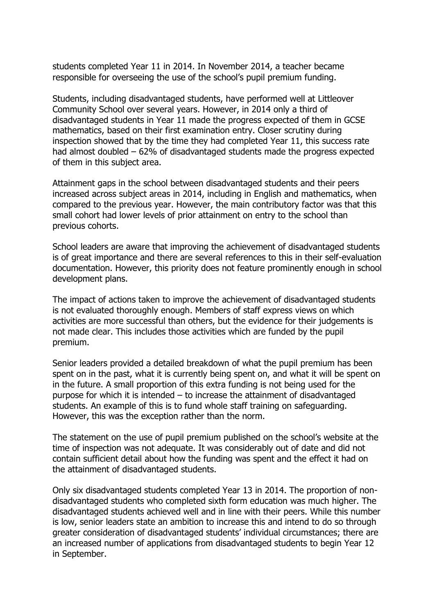students completed Year 11 in 2014. In November 2014, a teacher became responsible for overseeing the use of the school's pupil premium funding.

Students, including disadvantaged students, have performed well at Littleover Community School over several years. However, in 2014 only a third of disadvantaged students in Year 11 made the progress expected of them in GCSE mathematics, based on their first examination entry. Closer scrutiny during inspection showed that by the time they had completed Year 11, this success rate had almost doubled – 62% of disadvantaged students made the progress expected of them in this subject area.

Attainment gaps in the school between disadvantaged students and their peers increased across subject areas in 2014, including in English and mathematics, when compared to the previous year. However, the main contributory factor was that this small cohort had lower levels of prior attainment on entry to the school than previous cohorts.

School leaders are aware that improving the achievement of disadvantaged students is of great importance and there are several references to this in their self-evaluation documentation. However, this priority does not feature prominently enough in school development plans.

The impact of actions taken to improve the achievement of disadvantaged students is not evaluated thoroughly enough. Members of staff express views on which activities are more successful than others, but the evidence for their judgements is not made clear. This includes those activities which are funded by the pupil premium.

Senior leaders provided a detailed breakdown of what the pupil premium has been spent on in the past, what it is currently being spent on, and what it will be spent on in the future. A small proportion of this extra funding is not being used for the purpose for which it is intended – to increase the attainment of disadvantaged students. An example of this is to fund whole staff training on safeguarding. However, this was the exception rather than the norm.

The statement on the use of pupil premium published on the school's website at the time of inspection was not adequate. It was considerably out of date and did not contain sufficient detail about how the funding was spent and the effect it had on the attainment of disadvantaged students.

Only six disadvantaged students completed Year 13 in 2014. The proportion of nondisadvantaged students who completed sixth form education was much higher. The disadvantaged students achieved well and in line with their peers. While this number is low, senior leaders state an ambition to increase this and intend to do so through greater consideration of disadvantaged students' individual circumstances; there are an increased number of applications from disadvantaged students to begin Year 12 in September.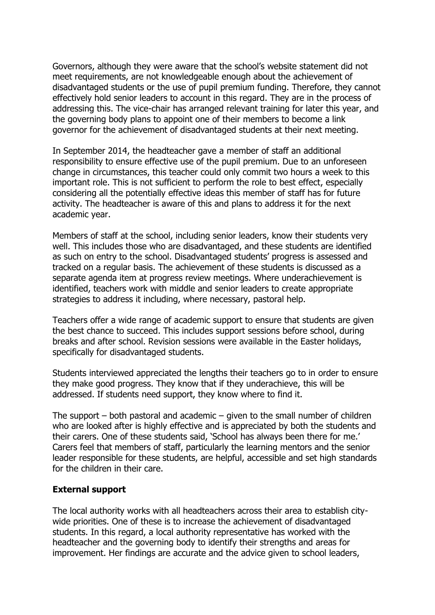Governors, although they were aware that the school's website statement did not meet requirements, are not knowledgeable enough about the achievement of disadvantaged students or the use of pupil premium funding. Therefore, they cannot effectively hold senior leaders to account in this regard. They are in the process of addressing this. The vice-chair has arranged relevant training for later this year, and the governing body plans to appoint one of their members to become a link governor for the achievement of disadvantaged students at their next meeting.

In September 2014, the headteacher gave a member of staff an additional responsibility to ensure effective use of the pupil premium. Due to an unforeseen change in circumstances, this teacher could only commit two hours a week to this important role. This is not sufficient to perform the role to best effect, especially considering all the potentially effective ideas this member of staff has for future activity. The headteacher is aware of this and plans to address it for the next academic year.

Members of staff at the school, including senior leaders, know their students very well. This includes those who are disadvantaged, and these students are identified as such on entry to the school. Disadvantaged students' progress is assessed and tracked on a regular basis. The achievement of these students is discussed as a separate agenda item at progress review meetings. Where underachievement is identified, teachers work with middle and senior leaders to create appropriate strategies to address it including, where necessary, pastoral help.

Teachers offer a wide range of academic support to ensure that students are given the best chance to succeed. This includes support sessions before school, during breaks and after school. Revision sessions were available in the Easter holidays, specifically for disadvantaged students.

Students interviewed appreciated the lengths their teachers go to in order to ensure they make good progress. They know that if they underachieve, this will be addressed. If students need support, they know where to find it.

The support – both pastoral and academic – given to the small number of children who are looked after is highly effective and is appreciated by both the students and their carers. One of these students said, 'School has always been there for me.' Carers feel that members of staff, particularly the learning mentors and the senior leader responsible for these students, are helpful, accessible and set high standards for the children in their care.

## **External support**

The local authority works with all headteachers across their area to establish citywide priorities. One of these is to increase the achievement of disadvantaged students. In this regard, a local authority representative has worked with the headteacher and the governing body to identify their strengths and areas for improvement. Her findings are accurate and the advice given to school leaders,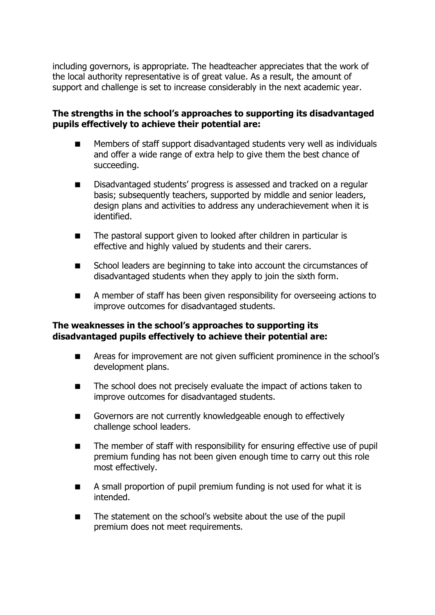including governors, is appropriate. The headteacher appreciates that the work of the local authority representative is of great value. As a result, the amount of support and challenge is set to increase considerably in the next academic year.

# **The strengths in the school's approaches to supporting its disadvantaged pupils effectively to achieve their potential are:**

- **Members of staff support disadvantaged students very well as individuals** and offer a wide range of extra help to give them the best chance of succeeding.
- Disadvantaged students' progress is assessed and tracked on a regular basis; subsequently teachers, supported by middle and senior leaders, design plans and activities to address any underachievement when it is identified.
- The pastoral support given to looked after children in particular is effective and highly valued by students and their carers.
- School leaders are beginning to take into account the circumstances of disadvantaged students when they apply to join the sixth form.
- A member of staff has been given responsibility for overseeing actions to improve outcomes for disadvantaged students.

## **The weaknesses in the school's approaches to supporting its disadvantaged pupils effectively to achieve their potential are:**

- **EXTERN** Areas for improvement are not given sufficient prominence in the school's development plans.
- The school does not precisely evaluate the impact of actions taken to improve outcomes for disadvantaged students.
- Governors are not currently knowledgeable enough to effectively challenge school leaders.
- The member of staff with responsibility for ensuring effective use of pupil premium funding has not been given enough time to carry out this role most effectively.
- A small proportion of pupil premium funding is not used for what it is intended.
- The statement on the school's website about the use of the pupil premium does not meet requirements.